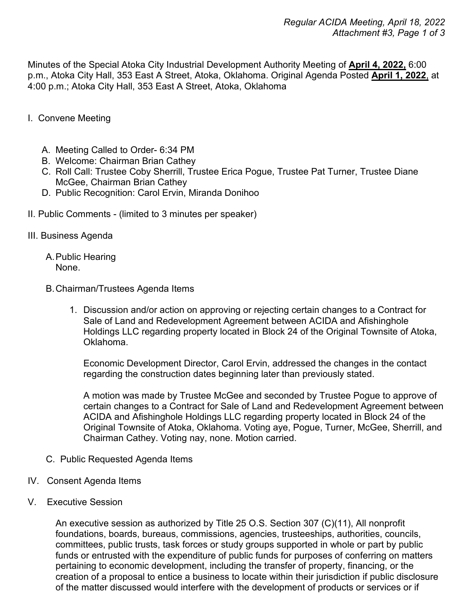Minutes of the Special Atoka City Industrial Development Authority Meeting of **April 4, 2022,** 6:00 p.m., Atoka City Hall, 353 East A Street, Atoka, Oklahoma. Original Agenda Posted **April 1, 2022**, at 4:00 p.m.; Atoka City Hall, 353 East A Street, Atoka, Oklahoma

- I. Convene Meeting
	- A. Meeting Called to Order- 6:34 PM
	- B. Welcome: Chairman Brian Cathey
	- C. Roll Call: Trustee Coby Sherrill, Trustee Erica Pogue, Trustee Pat Turner, Trustee Diane McGee, Chairman Brian Cathey
	- D. Public Recognition: Carol Ervin, Miranda Donihoo
- II. Public Comments (limited to 3 minutes per speaker)
- III. Business Agenda
	- A.Public Hearing None.
	- B.Chairman/Trustees Agenda Items
		- 1. Discussion and/or action on approving or rejecting certain changes to a Contract for Sale of Land and Redevelopment Agreement between ACIDA and Afishinghole Holdings LLC regarding property located in Block 24 of the Original Townsite of Atoka, Oklahoma.

Economic Development Director, Carol Ervin, addressed the changes in the contact regarding the construction dates beginning later than previously stated.

A motion was made by Trustee McGee and seconded by Trustee Pogue to approve of certain changes to a Contract for Sale of Land and Redevelopment Agreement between ACIDA and Afishinghole Holdings LLC regarding property located in Block 24 of the Original Townsite of Atoka, Oklahoma. Voting aye, Pogue, Turner, McGee, Sherrill, and Chairman Cathey. Voting nay, none. Motion carried.

- C. Public Requested Agenda Items
- IV. Consent Agenda Items
- V. Executive Session

An executive session as authorized by Title 25 O.S. Section 307 (C)(11), All nonprofit foundations, boards, bureaus, commissions, agencies, trusteeships, authorities, councils, committees, public trusts, task forces or study groups supported in whole or part by public funds or entrusted with the expenditure of public funds for purposes of conferring on matters pertaining to economic development, including the transfer of property, financing, or the creation of a proposal to entice a business to locate within their jurisdiction if public disclosure of the matter discussed would interfere with the development of products or services or if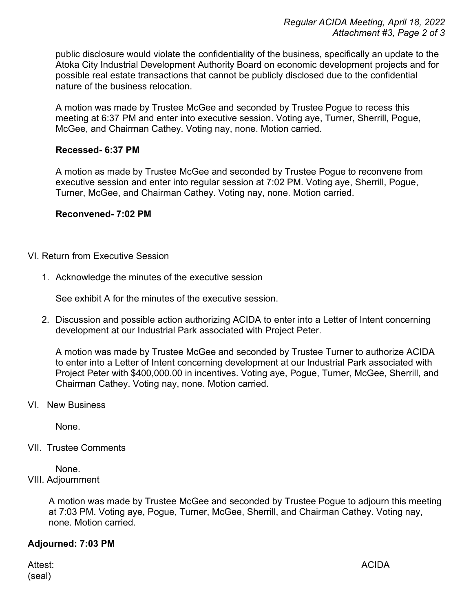public disclosure would violate the confidentiality of the business, specifically an update to the Atoka City Industrial Development Authority Board on economic development projects and for possible real estate transactions that cannot be publicly disclosed due to the confidential nature of the business relocation.

A motion was made by Trustee McGee and seconded by Trustee Pogue to recess this meeting at 6:37 PM and enter into executive session. Voting aye, Turner, Sherrill, Pogue, McGee, and Chairman Cathey. Voting nay, none. Motion carried.

## **Recessed- 6:37 PM**

A motion as made by Trustee McGee and seconded by Trustee Pogue to reconvene from executive session and enter into regular session at 7:02 PM. Voting aye, Sherrill, Pogue, Turner, McGee, and Chairman Cathey. Voting nay, none. Motion carried.

## **Reconvened- 7:02 PM**

## VI. Return from Executive Session

1. Acknowledge the minutes of the executive session

See exhibit A for the minutes of the executive session.

2. Discussion and possible action authorizing ACIDA to enter into a Letter of Intent concerning development at our Industrial Park associated with Project Peter.

A motion was made by Trustee McGee and seconded by Trustee Turner to authorize ACIDA to enter into a Letter of Intent concerning development at our Industrial Park associated with Project Peter with \$400,000.00 in incentives. Voting aye, Pogue, Turner, McGee, Sherrill, and Chairman Cathey. Voting nay, none. Motion carried.

VI. New Business

None.

VII. Trustee Comments

None. VIII. Adjournment

> A motion was made by Trustee McGee and seconded by Trustee Pogue to adjourn this meeting at 7:03 PM. Voting aye, Pogue, Turner, McGee, Sherrill, and Chairman Cathey. Voting nay, none. Motion carried.

## **Adjourned: 7:03 PM**

(seal)